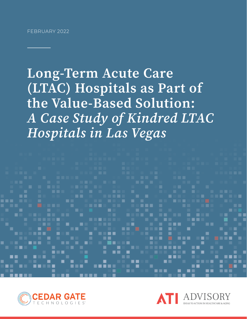Long-Term Acute Care (LTAC) Hospitals as Part of the Value-Based Solution: *A Case Study of Kindred LTAC Hospitals in Las Vegas*



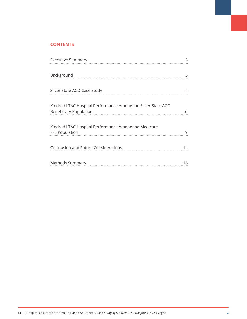# **CONTENTS**

| <b>Executive Summary</b>                                                                      | 3  |
|-----------------------------------------------------------------------------------------------|----|
| Background                                                                                    | 3  |
|                                                                                               |    |
| Silver State ACO Case Study                                                                   |    |
| Kindred LTAC Hospital Performance Among the Silver State ACO<br><b>Beneficiary Population</b> | 6  |
| Kindred LTAC Hospital Performance Among the Medicare<br><b>FFS Population</b>                 | 9  |
| Conclusion and Future Considerations                                                          | 14 |
|                                                                                               | 16 |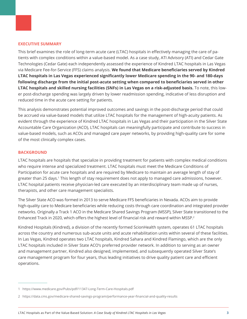#### **EXECUTIVE SUMMARY**

This brief examines the role of long-term acute care (LTAC) hospitals in effectively managing the care of patients with complex conditions within a value-based model. As a case study, ATI Advisory (ATI) and Cedar Gate Technologies (Cedar Gate) each independently assessed the experience of Kindred LTAC hospitals in Las Vegas via Medicare Fee-for-Service (FFS) claims analysis. **We found that Medicare beneficiaries served by Kindred LTAC hospitals in Las Vegas experienced significantly lower Medicare spending in the 90- and 180-days following discharge from the initial post-acute setting when compared to beneficiaries served in other LTAC hospitals and skilled nursing facilities (SNFs) in Las Vegas on a risk-adjusted basis.** To note, this lower post-discharge spending was largely driven by lower readmission spending, indicative of less disruption and reduced time in the acute care setting for patients.

This analysis demonstrates potential improved outcomes and savings in the post-discharge period that could be accrued via value-based models that utilize LTAC hospitals for the management of high-acuity patients. As evident through the experience of Kindred LTAC hospitals in Las Vegas and their participation in the Silver State Accountable Care Organization (ACO), LTAC hospitals can meaningfully participate and contribute to success in value-based models, such as ACOs and managed care payer networks, by providing high-quality care for some of the most clinically complex cases.

# **BACKGROUND**

LTAC hospitals are hospitals that specialize in providing treatment for patients with complex medical conditions who require intense and specialized treatment. LTAC hospitals must meet the Medicare Conditions of Participation for acute care hospitals and are required by Medicare to maintain an average length of stay of greater than 25 days.<sup>1</sup> This length of stay requirement does not apply to managed care admissions, however. LTAC hospital patients receive physician-led care executed by an interdisciplinary team made up of nurses, therapists, and other care management specialists.

The Silver State ACO was formed in 2013 to serve Medicare FFS beneficiaries in Nevada. ACOs aim to provide high-quality care to Medicare beneficiaries while reducing costs through care coordination and integrated provider networks. Originally a Track 1 ACO in the Medicare Shared Savings Program (MSSP), Silver State transitioned to the Enhanced Track in 2020, which offers the highest level of financial risk and reward within MSSP.<sup>2</sup>

Kindred Hospitals (Kindred), a division of the recently formed ScionHealth system, operates 61 LTAC hospitals across the country and numerous sub-acute units and acute rehabilitation units within several of these facilities. In Las Vegas, Kindred operates two LTAC hospitals, Kindred Sahara and Kindred Flamingo, which are the only LTAC hospitals included in Silver State ACO's preferred provider network. In addition to serving as an owner and management partner, Kindred also designed, implemented, and subsequently operated Silver State's care management program for four years, thus leading initiatives to drive quality patient care and efficient operations.

<sup>1</sup> https://www.medicare.gov/Pubs/pdf/11347-Long-Term-Care-Hospitals.pdf

<sup>2</sup> https://data.cms.gov/medicare-shared-savings-program/performance-year-financial-and-quality-results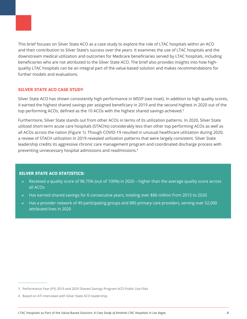This brief focuses on Silver State ACO as a case study to explore the role of LTAC hospitals within an ACO and their contribution to Silver State's success over the years. It examines the use of LTAC hospitals and the downstream medical utilization and outcomes for Medicare beneficiaries served by LTAC hospitals, including beneficiaries who are not attributed to the Silver State ACO. The brief also provides insights into how highquality LTAC hospitals can be an integral part of the value-based solution and makes recommendations for

# **SILVER STATE ACO CASE STUDY**

further models and evaluations.

Silver State ACO has shown consistently high performance in MSSP (see inset). In addition to high quality scores, it earned the highest shared savings per assigned beneficiary in 2019 and the second highest in 2020 out of the top performing ACOs, defined as the 10 ACOs with the highest shared savings achieved.<sup>3</sup>

Furthermore, Silver State stands out from other ACOs in terms of its utilization patterns. In 2020, Silver State utilized short-term acute care hospitals (STACHs) considerably less than other top performing ACOs as well as all ACOs across the nation (Figure 1). Though COVID-19 resulted in unusual healthcare utilization during 2020, a review of STACH utilization in 2019 revealed utilization patterns that were largely consistent. Silver State leadership credits its aggressive chronic care management program and coordinated discharge process with preventing unnecessary hospital admissions and readmissions.4

### **SILVER STATE ACO STATISTICS:**

- a Received a quality score of 98.75% (out of 100%) in 2020 higher than the average quality score across all ACOs
- $\blacktriangleright$  Has earned shared savings for 6 consecutive years, totaling over \$86 million from 2015 to 2020
- $\sim$  Has a provider network of 49 participating groups and 885 primary care providers, serving over 52,000 attributed lives in 2020

<sup>3</sup> Performance Year (PY) 2019 and 2020 Shared Savings Program ACO Public Use Files

<sup>4</sup> Based on ATI interviews with Silver State ACO leadership.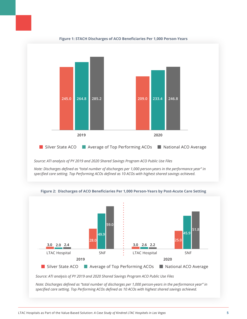

*Source: ATI analysis of PY 2019 and 2020 Shared Savings Program ACO Public Use Files*

*Note: Discharges defined as "total number of discharges per 1,000 person-years in the performance year" in specified care setting. Top Performing ACOs defined as 10 ACOs with highest shared savings achieved.*



**Figure 2: Discharges of ACO Beneficiaries Per 1,000 Person-Years by Post-Acute Care Setting**

*Source: ATI analysis of PY 2019 and 2020 Shared Savings Program ACO Public Use Files*

*Note: Discharges defined as "total number of discharges per 1,000 person-years in the performance year" in specified care setting. Top Performing ACOs defined as 10 ACOs with highest shared savings achieved.*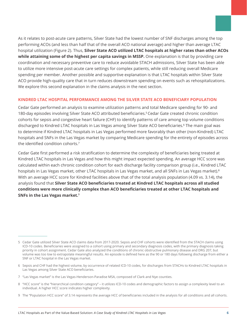As it relates to post-acute care patterns, Silver State had the lowest number of SNF discharges among the top performing ACOs (and less than half that of the overall ACO national average) and higher than average LTAC hospital utilization (Figure 2). Thus, **Silver State ACO utilized LTAC hospitals at higher rates than other ACOs while attaining some of the highest per capita savings in MSSP.** One explanation is that by providing care coordination and necessary preventive care to reduce avoidable STACH admissions, Silver State has been able to utilize more intensive post-acute care settings for complex patients, while still reducing overall Medicare spending per member. Another possible and supportive explanation is that LTAC hospitals within Silver State ACO provide high-quality care that in turn reduces downstream spending on events such as rehospitalizations. We explore this second explanation in the claims analysis in the next section.

# **KINDRED LTAC HOSPITAL PERFORMANCE AMONG THE SILVER STATE ACO BENEFICIARY POPULATION**

Cedar Gate performed an analysis to examine utilization patterns and total Medicare spending for 90- and 180-day episodes involving Silver State ACO attributed beneficiaries.<sup>5</sup> Cedar Gate created chronic condition cohorts for sepsis and congestive heart failure (CHF) to identify patterns of care among top volume conditions discharged to Kindred LTAC hospitals in Las Vegas among Silver State ACO beneficiaries.<sup>6</sup> The main goal was to determine if Kindred LTAC hospitals in Las Vegas performed more favorably than other (non-Kindred) LTAC hospitals and SNFs in the Las Vegas market by comparing Medicare spending for the entirety of episodes across the identified condition cohorts.<sup>7</sup>

Cedar Gate first performed a risk stratification to determine the complexity of beneficiaries being treated at Kindred LTAC hospitals in Las Vegas and how this might impact expected spending. An average HCC score was calculated within each chronic condition cohort for each discharge facility comparison group (i.e., Kindred LTAC hospitals in Las Vegas market, other LTAC hospitals in Las Vegas market, and all SNFs in Las Vegas market).<sup>8</sup> With an average HCC score for Kindred facilities above that of the total analysis population (4.09 vs. 3.14), the analysis found that **Silver State ACO beneficiaries treated at Kindred LTAC hospitals across all studied conditions were more clinically complex than ACO beneficiaries treated at other LTAC hospitals and SNFs in the Las Vegas market.**<sup>9</sup>

- 6 Sepsis and CHF had the highest volume, by occurrence of related ICD-10 codes, for discharges from STACHs to Kindred LTAC hospitals in Las Vegas among Silver State ACO beneficiaries.
- 7 "Las Vegas market" is the Las Vegas-Henderson-Paradise MSA, composed of Clark and Nye counties.
- 8 "HCC score" is the "hierarchical condition category" it utilizes ICD-10 codes and demographic factors to assign a complexity level to an individual. A higher HCC score indicates higher complexity.
- 9 The "Population HCC score" of 3.14 represents the average HCC of beneficiaries included in the analysis for all conditions and all cohorts.

<sup>5</sup> Cedar Gate utilized Silver State ACO claims data from 2017-2020. Sepsis and CHF cohorts were identified from the STACH claims using ICD-10 codes. Beneficiaries were assigned to a cohort using primary and secondary diagnosis codes, with the primary diagnosis taking priority in cohort assignment. Cedar Gate also analyzed the conditions of chronic obstructive pulmonary disease and DRG 207, but volume was too low to extrapolate meaningful results. An episode is defined here as the 90 or 180 days following discharge from either a SNF or LTAC hospital in the Las Vegas market.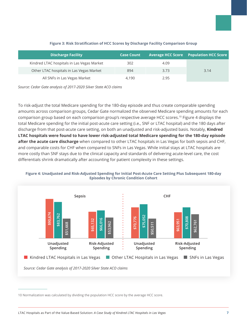| <b>Discharge Facility</b>                  | <b>Case Count</b> |      | <b>Average HCC Score Population HCC Score</b> |
|--------------------------------------------|-------------------|------|-----------------------------------------------|
| Kindred LTAC hospitals in Las Vegas Market | 302               | 4.09 |                                               |
| Other LTAC hospitals in Las Vegas Market   | 894               | 3.73 | 3.14                                          |
| All SNFs in Las Vegas Market               | 4.190             | 2.95 |                                               |

### **Figure 3: Risk Stratification of HCC Scores by Discharge Facility Comparison Group**

*Source: Cedar Gate analysis of 2017-2020 Silver State ACO claims*

To risk-adjust the total Medicare spending for the 180-day episode and thus create comparable spending amounts across comparison groups, Cedar Gate normalized the observed Medicare spending amounts for each comparison group based on each comparison group's respective average HCC scores.<sup>10</sup> Figure 4 displays the total Medicare spending for the initial post-acute care setting (i.e., SNF or LTAC hospital) and the 180 days after discharge from that post-acute care setting, on both an unadjusted and risk-adjusted basis. Notably, **Kindred LTAC hospitals were found to have lower risk-adjusted total Medicare spending for the 180-day episode after the acute care discharge** when compared to other LTAC hospitals in Las Vegas for both sepsis and CHF, and comparable costs for CHF when compared to SNFs in Las Vegas. While initial stays at LTAC hospitals are more costly than SNF stays due to the clinical capacity and standards of delivering acute-level care, the cost differentials shrink dramatically after accounting for patient complexity in these settings.

### **Figure 4: Unadjusted and Risk-Adjusted Spending for Initial Post-Acute Care Setting Plus Subsequent 180-day Episodes by Chronic Condition Cohort**



<sup>10</sup> Normalization was calculated by dividing the population HCC score by the average HCC score.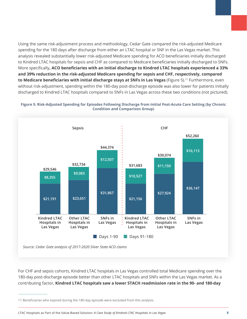Using the same risk-adjustment process and methodology, Cedar Gate compared the risk-adjusted Medicare spending for the 180 days after discharge from either an LTAC hospital or SNF in the Las Vegas market. This analysis revealed substantially lower risk-adjusted Medicare spending for ACO beneficiaries initially discharged to Kindred LTAC hospitals for sepsis and CHF as compared to Medicare beneficiaries initially discharged to SNFs. More specifically**, ACO beneficiaries with an initial discharge to Kindred LTAC hospitals experienced a 33% and 39% reduction in the risk-adjusted Medicare spending for sepsis and CHF, respectively, compared to Medicare beneficiaries with initial discharge stays at SNFs in Las Vegas** (Figure 5).11 Furthermore, even without risk-adjustment, spending within the 180-day post-discharge episode was also lower for patients initially discharged to Kindred LTAC hospitals compared to SNFs in Las Vegas across these two conditions (not pictured).





*Source: Cedar Gate analysis of 2017-2020 Silver State ACO claims*

For CHF and sepsis cohorts, Kindred LTAC hospitals in Las Vegas controlled total Medicare spending over the 180-day post-discharge episode better than other LTAC hospitals and SNFs within the Las Vegas market. As a contributing factor, **Kindred LTAC hospitals saw a lower STACH readmission rate in the 90- and 180-day** 

LTAC Hospitals as Part of the Value-Based Solution: *A Case Study of Kindred LTAC Hospitals in Las Vegas* **8**

<sup>11</sup> Beneficiaries who expired during the 180-day episode were excluded from this analysis.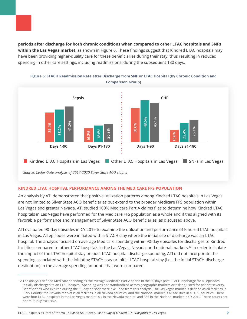**periods after discharge for both chronic conditions when compared to other LTAC hospitals and SNFs within the Las Vegas market**, as shown in Figure 6. These findings suggest that Kindred LTAC hospitals may have been providing higher-quality care for these beneficiaries during their stay, thus resulting in reduced spending in other care settings, including readmissions, during the subsequent 180 days.

![](_page_8_Figure_1.jpeg)

**Figure 6: STACH Readmission Rate after Discharge from SNF or LTAC Hospital (by Chronic Condition and Comparison Group)**

*Source: Cedar Gate analysis of 2017-2020 Silver State ACO claims*

# **KINDRED LTAC HOSPITAL PERFORMANCE AMONG THE MEDICARE FFS POPULATION**

An analysis by ATI demonstrated that positive utilization patterns among Kindred LTAC hospitals in Las Vegas are not limited to Silver State ACO beneficiaries but extend to the broader Medicare FFS population within Las Vegas and greater Nevada. ATI studied 100% Medicare Part A claims files to determine how Kindred LTAC hospitals in Las Vegas have performed for the Medicare FFS population as a whole and if this aligned with its favorable performance and management of Silver State ACO beneficiaries, as discussed above.

ATI evaluated 90-day episodes in CY 2019 to examine the utilization and performance of Kindred LTAC hospitals in Las Vegas. All episodes were initiated with a STACH stay where the initial site of discharge was an LTAC hospital. The analysis focused on average Medicare spending within 90-day episodes for discharges to Kindred facilities compared to other LTAC hospitals in the Las Vegas, Nevada, and national markets.<sup>12</sup> In order to isolate the impact of the LTAC hospital stay on post-LTAC hospital discharge spending, ATI did not incorporate the spending associated with the initiating STACH stay or initial LTAC hospital stay (i.e., the initial STACH discharge destination) in the average spending amounts that were compared.

<sup>12</sup> The analysis defined Medicare spending as the average Medicare Part A spend in the 90 days post-STACH discharge for all episodes initially discharged to an LTAC hospital. Spending was not standardized across geographic markets or risk-adjusted for patient severity. Beneficiaries who expired during the 90-day episode were excluded from this analysis. The Las Vegas market is defined as all facilities in Clark County; the Nevada market is all facilities in all Nevada counties; and the National market is all facilities in all U.S. counties. There were four LTAC hospitals in the Las Vegas market, six in the Nevada market, and 365 in the National market in CY 2019. These counts are not mutually exclusive.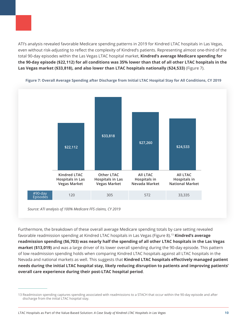ATI's analysis revealed favorable Medicare spending patterns in 2019 for Kindred LTAC hospitals in Las Vegas, even without risk-adjusting to reflect the complexity of Kindred's patients. Representing almost one-third of the total 90-day episodes within the Las Vegas LTAC hospital market, **Kindred's average Medicare spending for the 90-day episode (\$22,112) for all conditions was 35% lower than that of all other LTAC hospitals in the Las Vegas market (\$33,818), and also lower than LTAC hospitals nationally (\$24,533)** (Figure 7).

![](_page_9_Figure_1.jpeg)

**Figure 7: Overall Average Spending after Discharge from Initial LTAC Hospital Stay for All Conditions, CY 2019**

*Source: ATI analysis of 100% Medicare FFS claims, CY 2019*

Furthermore, the breakdown of these overall average Medicare spending totals by care setting revealed favorable readmission spending at Kindred LTAC hospitals in Las Vegas (Figure 8).13 **Kindred's average readmission spending (\$6,703) was nearly half the spending of all other LTAC hospitals in the Las Vegas market (\$13,019)** and was a large driver of its lower overall spending during the 90-day episode. This pattern of low readmission spending holds when comparing Kindred LTAC hospitals against all LTAC hospitals in the Nevada and national markets as well. This suggests that **Kindred LTAC hospitals effectively managed patient needs during the initial LTAC hospital stay, likely reducing disruption to patients and improving patients' overall care experience during their post-LTAC hospital period**.

<sup>13</sup> Readmission spending captures spending associated with readmissions to a STACH that occur within the 90-day episode and after discharge from the initial LTAC hospital stay.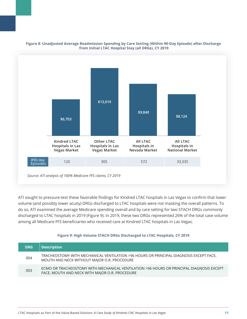![](_page_10_Figure_0.jpeg)

#### **Figure 8: Unadjusted Average Readmission Spending by Care Setting (Within 90-Day Episode) after Discharge from Initial LTAC Hospital Stay (all DRGs), CY 2019**

ATI sought to pressure-test these favorable findings for Kindred LTAC hospitals in Las Vegas to confirm that lower volume (and possibly lower acuity) DRGs discharged to LTAC hospitals were not masking the overall patterns. To do so, ATI examined the average Medicare spending overall and by care setting for two STACH DRGs commonly discharged to LTAC hospitals in 2019 (Figure 9). In 2019, these two DRGs represented 26% of the total case volume among all Medicare FFS beneficiaries who received care at Kindred LTAC hospitals in Las Vegas.

### **Figure 9: High Volume STACH DRGs Discharged to LTAC Hospitals, CY 2019**

| <b>DRG</b> | <b>Description</b>                                                                                                                         |
|------------|--------------------------------------------------------------------------------------------------------------------------------------------|
| 004        | TRACHEOSTOMY WITH MECHANICAL VENTILATION >96 HOURS OR PRINCIPAL DIAGNOSIS EXCEPT FACE,<br>MOUTH AND NECK WITHOUT MAJOR O.R. PROCEDURE      |
| 003        | ECMO OR TRACHEOSTOMY WITH MECHANICAL VENTILATION >96 HOURS OR PRINCIPAL DIAGNOSIS EXCEPT<br>FACE, MOUTH AND NECK WITH MAJOR O.R. PROCEDURE |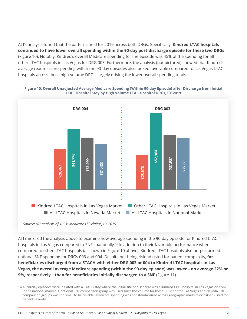ATI's analysis found that the patterns held for 2019 across both DRGs. Specifically, **Kindred LTAC hospitals continued to have lower overall spending within the 90-day post-discharge episode for these two DRGs** (Figure 10). Notably, Kindred's overall Medicare spending for the episode was 45% of the spending for all other LTAC hospitals in Las Vegas for DRG 003. Furthermore, the analysis (not pictured) showed that Kindred's average readmission spending within the 90-day episodes also looked favorable compared to Las Vegas LTAC hospitals across these high-volume DRGs, largely driving the lower overall spending totals.

![](_page_11_Figure_1.jpeg)

### **Figure 10: Overall Unadjusted Average Medicare Spending (Within 90-day Episode) after Discharge from Initial LTAC Hospital Stay by High Volume LTAC Hospital DRGs, CY 2019**

ATI mirrored the analysis above to examine how average spending in the 90-day episode for Kindred LTAC hospitals in Las Vegas compared to SNFs nationally.<sup>14</sup> In addition to their favorable performance when compared to other LTAC hospitals (as shown in Figure 10 above), Kindred LTAC hospitals also outperformed national SNF spending for DRGs 003 and 004. Despite not being risk-adjusted for patient complexity, **for beneficiaries discharged from a STACH with either DRG 003 or 004 to Kindred LTAC hospitals in Las Vegas, the overall average Medicare spending (within the 90-day episode) was lower – on average 22% or 9%, respectively – than for beneficiaries initially discharged to a SNF** (Figure 11).

<sup>14</sup> All 90-day episodes were initiated with a STACH stay where the initial site of discharge was a Kindred LTAC hospital in Las Vegas or a SNF in the national market. A national SNF comparison group was used since the volume for these DRGs for the Las Vegas and Nevada SNF comparison groups was too small to be reliable. Medicare spending was not standardized across geographic markets or risk-adjusted for patient severity.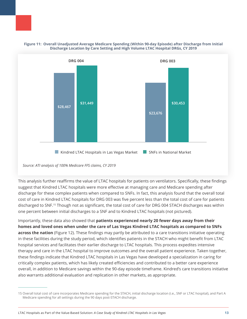![](_page_12_Figure_0.jpeg)

![](_page_12_Figure_1.jpeg)

*Source: ATI analysis of 100% Medicare FFS claims, CY 2019*

This analysis further reaffirms the value of LTAC hospitals for patients on ventilators. Specifically, these findings suggest that Kindred LTAC hospitals were more effective at managing care and Medicare spending after discharge for these complex patients when compared to SNFs. In fact, this analysis found that the overall total cost of care in Kindred LTAC hospitals for DRG 003 was five percent less than the total cost of care for patients discharged to SNF.<sup>15</sup> Though not as significant, the total cost of care for DRG 004 STACH discharges was within one percent between initial discharges to a SNF and to Kindred LTAC hospitals (not pictured).

Importantly, these data also showed that **patients experienced nearly 20 fewer days away from their homes and loved ones when under the care of Las Vegas Kindred LTAC hospitals as compared to SNFs across the nation** (Figure 12). These findings may partly be attributed to a care transitions initiative operating in these facilities during the study period, which identifies patients in the STACH who might benefit from LTAC hospital services and facilitates their earlier discharge to LTAC hospitals. This process expedites intensive therapy and care in the LTAC hospital to improve outcomes and the overall patient experience. Taken together, these findings indicate that Kindred LTAC hospitals in Las Vegas have developed a specialization in caring for critically complex patients, which has likely created efficiencies and contributed to a better care experience overall, in addition to Medicare savings within the 90-day episode timeframe. Kindred's care transitions initiative also warrants additional evaluation and replication in other markets, as appropriate.

<sup>15</sup> Overall total cost of care incorporates Medicare spending for the STACH, initial discharge location (i.e., SNF or LTAC hospital), and Part A Medicare spending for all settings during the 90 days post-STACH discharge.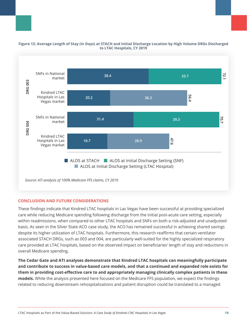![](_page_13_Figure_0.jpeg)

#### **Figure 12: Average Length of Stay (in Days) at STACH and Initial Discharge Location by High Volume DRGs Discharged to LTAC Hospitals, CY 2019**

# **CONCLUSION AND FUTURE CONSIDERATIONS**

These findings indicate that Kindred LTAC hospitals in Las Vegas have been successful at providing specialized care while reducing Medicare spending following discharge from the initial post-acute care setting, especially within readmissions, when compared to other LTAC hospitals and SNFs on both a risk-adjusted and unadjusted basis. As seen in the Silver State ACO case study, the ACO has remained successful in achieving shared savings despite its higher utilization of LTAC hospitals. Furthermore, this research reaffirms that certain ventilator associated STACH DRGs, such as 003 and 004, are particularly well-suited for the highly specialized respiratory care provided at LTAC hospitals, based on the observed impact on beneficiaries' length of stay and reductions in overall Medicare spending.

**The Cedar Gate and ATI analyses demonstrate that Kindred LTAC hospitals can meaningfully participate and contribute to success in value-based care models, and that a continued and expanded role exists for them in providing cost-effective care to and appropriately managing clinically complex patients in these models.** While the analysis presented here focused on the Medicare FFS population, we expect the findings related to reducing downstream rehospitalizations and patient disruption could be translated to a managed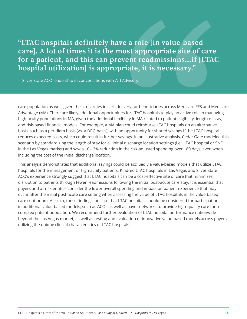"LTAC hospitals definitely have a role [in value-based care]. A lot of times it is the most appropriate site of care for a patient, and this can prevent readmissions…if [LTAC hospital utilization] is appropriate, it is necessary."

– Silver State ACO leadership in conversations with ATI Advisory

care population as well, given the similarities in care delivery for beneficiaries across Medicare FFS and Medicare Advantage (MA). There are likely additional opportunities for LTAC hospitals to play an active role in managing high-acuity populations in MA, given the additional flexibility in MA related to patient eligibility, length of stay, and risk-based financial models. For example, a MA plan could reimburse LTAC hospitals on an alternative basis, such as a per diem basis (vs. a DRG basis), with an opportunity for shared savings if the LTAC hospital reduces expected costs, which could result in further savings. In an illustrative analysis, Cedar Gate modeled this scenario by standardizing the length of stay for all initial discharge location settings (i.e., LTAC hospital or SNF in the Las Vegas market) and saw a 10-13% reduction in the risk-adjusted spending over 180 days, even when including the cost of the initial discharge location.

This analysis demonstrates that additional savings could be accrued via value-based models that utilize LTAC hospitals for the management of high-acuity patients. Kindred LTAC hospitals in Las Vegas and Silver State ACO's experience strongly suggest that LTAC hospitals can be a cost-effective site of care that minimizes disruption to patients through fewer readmissions following the initial post-acute care stay. It is essential that payers and at-risk entities consider the lower overall spending and impact on patient experience that may occur after the initial post-acute care setting when assessing the value of LTAC hospitals in the value-based care continuum. As such, these findings indicate that LTAC hospitals should be considered for participation in additional value-based models, such as ACOs as well as payer networks to provide high-quality care for a complex patient population. We recommend further evaluation of LTAC hospital performance nationwide beyond the Las Vegas market, as well as testing and evaluation of innovative value-based models across payers utilizing the unique clinical characteristics of LTAC hospitals.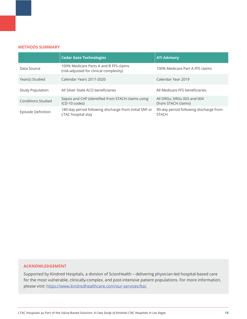#### **METHODS SUMMARY**

|                           | <b>Cedar Gate Technologies</b>                                                    | <b>ATI Advisory</b>                                    |
|---------------------------|-----------------------------------------------------------------------------------|--------------------------------------------------------|
| Data Source               | 100% Medicare Parts A and B FFS claims<br>(risk-adjusted for clinical complexity) | 100% Medicare Part A FFS claims                        |
| Year(s) Studied           | Calendar Years 2017-2020                                                          | Calendar Year 2019                                     |
| <b>Study Population</b>   | All Silver State ACO beneficiaries                                                | All Medicare FFS beneficiaries                         |
| <b>Conditions Studied</b> | Sepsis and CHF (identified from STACH claims using<br>ICD-10 codes)               | All DRGs; DRGs 003 and 004<br>(from STACH claims)      |
| Episode Definition        | 180-day period following discharge from initial SNF or<br>LTAC hospital stay      | 90-day period following discharge from<br><b>STACH</b> |

#### **ACKNOWLEDGEMENT**

Supported by Kindred Hospitals, a division of ScionHealth – delivering physician-led hospital-based care for the most vulnerable, clinically-complex, and post-intensive patient populations. For more information, please visit: <https://www.kindredhealthcare.com/our-services/ltac>